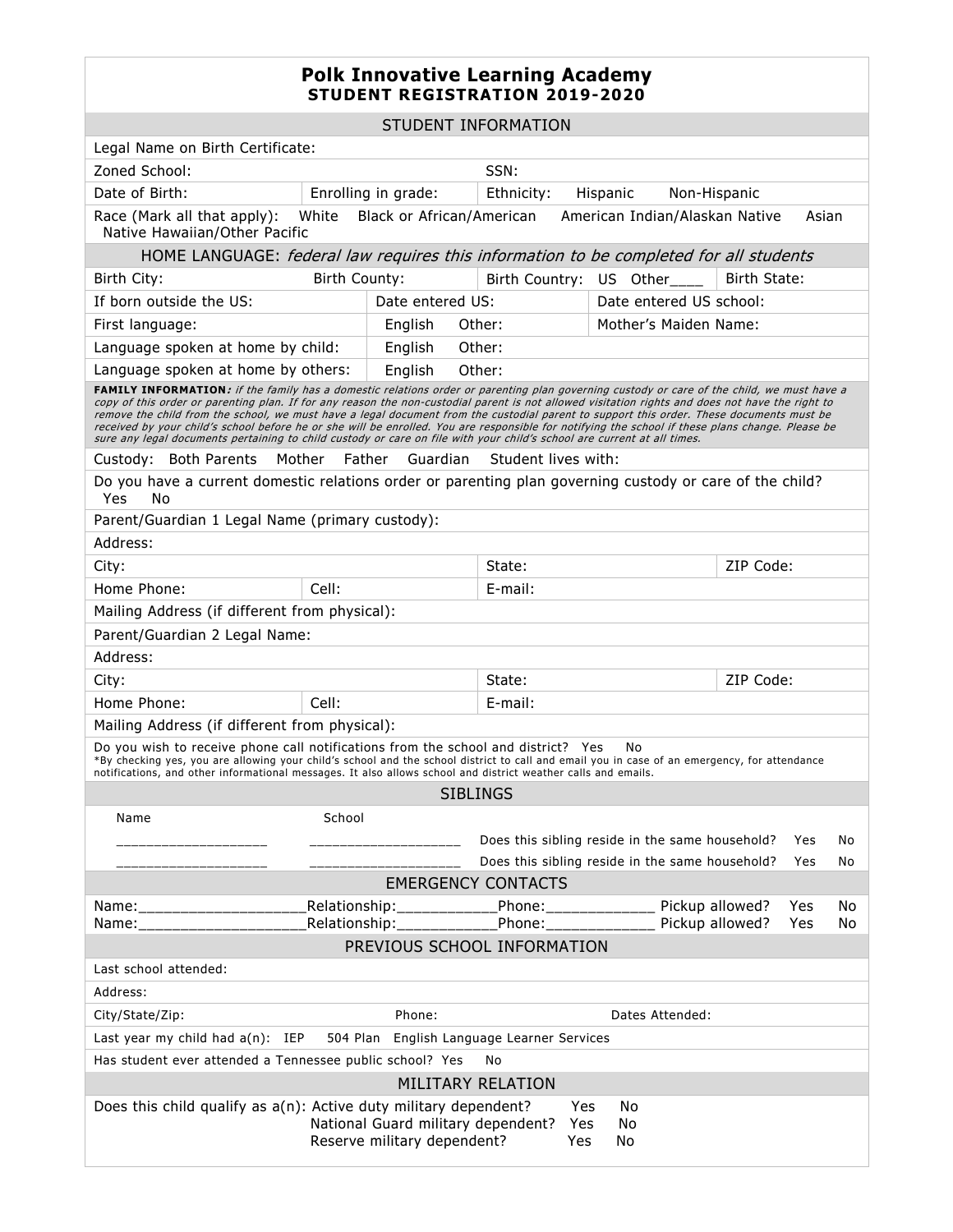## **Polk Innovative Learning Academy STUDENT REGISTRATION 2019-2020**

STUDENT INFORMATION

| Legal Name on Birth Certificate:                                                                                                                                                                                                                                                                                                                                                                                                                                                                                                                                                                                                                                                                                         |         |                           |                                        |                                                 |                         |           |  |
|--------------------------------------------------------------------------------------------------------------------------------------------------------------------------------------------------------------------------------------------------------------------------------------------------------------------------------------------------------------------------------------------------------------------------------------------------------------------------------------------------------------------------------------------------------------------------------------------------------------------------------------------------------------------------------------------------------------------------|---------|---------------------------|----------------------------------------|-------------------------------------------------|-------------------------|-----------|--|
| Zoned School:<br>SSN:                                                                                                                                                                                                                                                                                                                                                                                                                                                                                                                                                                                                                                                                                                    |         |                           |                                        |                                                 |                         |           |  |
| Date of Birth:                                                                                                                                                                                                                                                                                                                                                                                                                                                                                                                                                                                                                                                                                                           |         | Enrolling in grade:       | Ethnicity:<br>Hispanic<br>Non-Hispanic |                                                 |                         |           |  |
| Race (Mark all that apply):<br>White<br>Black or African/American<br>American Indian/Alaskan Native<br>Asian<br>Native Hawaiian/Other Pacific                                                                                                                                                                                                                                                                                                                                                                                                                                                                                                                                                                            |         |                           |                                        |                                                 |                         |           |  |
| HOME LANGUAGE: federal law requires this information to be completed for all students                                                                                                                                                                                                                                                                                                                                                                                                                                                                                                                                                                                                                                    |         |                           |                                        |                                                 |                         |           |  |
| Birth County:<br>Birth City:                                                                                                                                                                                                                                                                                                                                                                                                                                                                                                                                                                                                                                                                                             |         |                           |                                        | Birth Country: US Other____                     | Birth State:            |           |  |
| If born outside the US:                                                                                                                                                                                                                                                                                                                                                                                                                                                                                                                                                                                                                                                                                                  |         | Date entered US:          |                                        |                                                 | Date entered US school: |           |  |
| First language:                                                                                                                                                                                                                                                                                                                                                                                                                                                                                                                                                                                                                                                                                                          |         | English<br>Other:         |                                        | Mother's Maiden Name:                           |                         |           |  |
| Language spoken at home by child:                                                                                                                                                                                                                                                                                                                                                                                                                                                                                                                                                                                                                                                                                        | English | Other:                    |                                        |                                                 |                         |           |  |
| Language spoken at home by others:<br>English<br>Other:                                                                                                                                                                                                                                                                                                                                                                                                                                                                                                                                                                                                                                                                  |         |                           |                                        |                                                 |                         |           |  |
| FAMILY INFORMATION: if the family has a domestic relations order or parenting plan governing custody or care of the child, we must have a<br>copy of this order or parenting plan. If for any reason the non-custodial parent is not allowed visitation rights and does not have the right to<br>remove the child from the school, we must have a legal document from the custodial parent to support this order. These documents must be<br>received by your child's school before he or she will be enrolled. You are responsible for notifying the school if these plans change. Please be<br>sure any legal documents pertaining to child custody or care on file with your child's school are current at all times. |         |                           |                                        |                                                 |                         |           |  |
| Custody: Both Parents<br>Mother<br>Father<br>Guardian<br>Student lives with:                                                                                                                                                                                                                                                                                                                                                                                                                                                                                                                                                                                                                                             |         |                           |                                        |                                                 |                         |           |  |
| Do you have a current domestic relations order or parenting plan governing custody or care of the child?<br>Yes<br>No                                                                                                                                                                                                                                                                                                                                                                                                                                                                                                                                                                                                    |         |                           |                                        |                                                 |                         |           |  |
| Parent/Guardian 1 Legal Name (primary custody):                                                                                                                                                                                                                                                                                                                                                                                                                                                                                                                                                                                                                                                                          |         |                           |                                        |                                                 |                         |           |  |
| Address:                                                                                                                                                                                                                                                                                                                                                                                                                                                                                                                                                                                                                                                                                                                 |         |                           |                                        |                                                 |                         |           |  |
| City:                                                                                                                                                                                                                                                                                                                                                                                                                                                                                                                                                                                                                                                                                                                    |         |                           |                                        | State:                                          |                         | ZIP Code: |  |
| Home Phone:                                                                                                                                                                                                                                                                                                                                                                                                                                                                                                                                                                                                                                                                                                              | Cell:   |                           |                                        | E-mail:                                         |                         |           |  |
| Mailing Address (if different from physical):                                                                                                                                                                                                                                                                                                                                                                                                                                                                                                                                                                                                                                                                            |         |                           |                                        |                                                 |                         |           |  |
| Parent/Guardian 2 Legal Name:                                                                                                                                                                                                                                                                                                                                                                                                                                                                                                                                                                                                                                                                                            |         |                           |                                        |                                                 |                         |           |  |
| Address:                                                                                                                                                                                                                                                                                                                                                                                                                                                                                                                                                                                                                                                                                                                 |         |                           |                                        |                                                 |                         |           |  |
| City:                                                                                                                                                                                                                                                                                                                                                                                                                                                                                                                                                                                                                                                                                                                    |         |                           | ZIP Code:<br>State:                    |                                                 |                         |           |  |
| Home Phone:                                                                                                                                                                                                                                                                                                                                                                                                                                                                                                                                                                                                                                                                                                              | Cell:   |                           |                                        | E-mail:                                         |                         |           |  |
| Mailing Address (if different from physical):                                                                                                                                                                                                                                                                                                                                                                                                                                                                                                                                                                                                                                                                            |         |                           |                                        |                                                 |                         |           |  |
| Do you wish to receive phone call notifications from the school and district? Yes<br>No<br>*By checking yes, you are allowing your child's school and the school district to call and email you in case of an emergency, for attendance<br>notifications, and other informational messages. It also allows school and district weather calls and emails.                                                                                                                                                                                                                                                                                                                                                                 |         |                           |                                        |                                                 |                         |           |  |
| <b>SIBLINGS</b>                                                                                                                                                                                                                                                                                                                                                                                                                                                                                                                                                                                                                                                                                                          |         |                           |                                        |                                                 |                         |           |  |
| School<br>Name                                                                                                                                                                                                                                                                                                                                                                                                                                                                                                                                                                                                                                                                                                           |         |                           |                                        |                                                 |                         |           |  |
|                                                                                                                                                                                                                                                                                                                                                                                                                                                                                                                                                                                                                                                                                                                          |         |                           |                                        | Does this sibling reside in the same household? |                         | Yes<br>No |  |
|                                                                                                                                                                                                                                                                                                                                                                                                                                                                                                                                                                                                                                                                                                                          |         |                           |                                        | Does this sibling reside in the same household? |                         | Yes<br>No |  |
| <b>EMERGENCY CONTACTS</b>                                                                                                                                                                                                                                                                                                                                                                                                                                                                                                                                                                                                                                                                                                |         |                           |                                        |                                                 |                         |           |  |
| Name: ________________________                                                                                                                                                                                                                                                                                                                                                                                                                                                                                                                                                                                                                                                                                           |         | Relationship:____________ | Phone:______________                   | Pickup allowed?                                 |                         | Yes<br>No |  |
| Pickup allowed?<br>Relationship: ___________<br>Phone: ______________<br>Yes<br>No<br>Name:<br>PREVIOUS SCHOOL INFORMATION                                                                                                                                                                                                                                                                                                                                                                                                                                                                                                                                                                                               |         |                           |                                        |                                                 |                         |           |  |
| Last school attended:                                                                                                                                                                                                                                                                                                                                                                                                                                                                                                                                                                                                                                                                                                    |         |                           |                                        |                                                 |                         |           |  |
| Address:                                                                                                                                                                                                                                                                                                                                                                                                                                                                                                                                                                                                                                                                                                                 |         |                           |                                        |                                                 |                         |           |  |
| City/State/Zip:                                                                                                                                                                                                                                                                                                                                                                                                                                                                                                                                                                                                                                                                                                          |         | Phone:                    |                                        | Dates Attended:                                 |                         |           |  |
| Last year my child had $a(n)$ : IEP<br>504 Plan English Language Learner Services                                                                                                                                                                                                                                                                                                                                                                                                                                                                                                                                                                                                                                        |         |                           |                                        |                                                 |                         |           |  |
| Has student ever attended a Tennessee public school? Yes                                                                                                                                                                                                                                                                                                                                                                                                                                                                                                                                                                                                                                                                 |         |                           | No                                     |                                                 |                         |           |  |
| MILITARY RELATION                                                                                                                                                                                                                                                                                                                                                                                                                                                                                                                                                                                                                                                                                                        |         |                           |                                        |                                                 |                         |           |  |
| Does this child qualify as a(n): Active duty military dependent?<br>No<br>Yes<br>National Guard military dependent?<br>Yes<br>No<br>Reserve military dependent?<br>Yes<br>No                                                                                                                                                                                                                                                                                                                                                                                                                                                                                                                                             |         |                           |                                        |                                                 |                         |           |  |